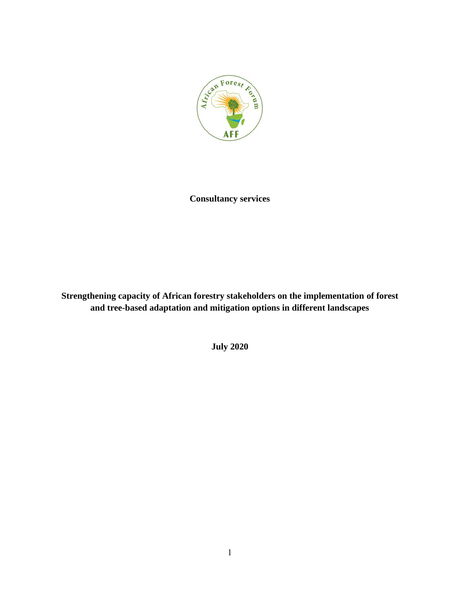

**Consultancy services** 

**Strengthening capacity of African forestry stakeholders on the implementation of forest and tree-based adaptation and mitigation options in different landscapes**

**July 2020**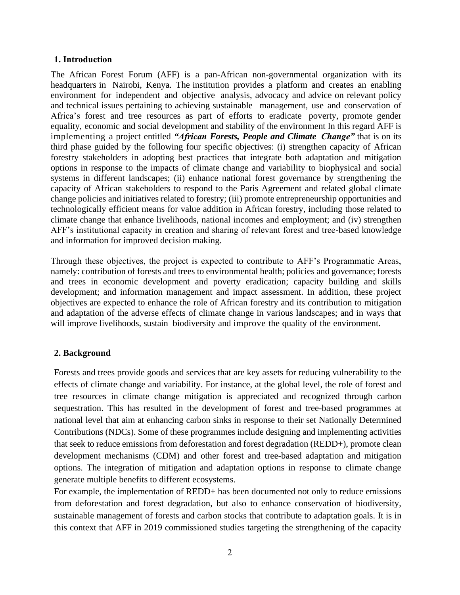#### **1. Introduction**

The African Forest Forum (AFF) is a pan-African non-governmental organization with its headquarters in Nairobi, Kenya. The institution provides a platform and creates an enabling environment for independent and objective analysis, advocacy and advice on relevant policy and technical issues pertaining to achieving sustainable management, use and conservation of Africa's forest and tree resources as part of efforts to eradicate poverty, promote gender equality, economic and social development and stability of the environment In this regard AFF is implementing a project entitled *"African Forests, People and Climate Change"* that is on its third phase guided by the following four specific objectives: (i) strengthen capacity of African forestry stakeholders in adopting best practices that integrate both adaptation and mitigation options in response to the impacts of climate change and variability to biophysical and social systems in different landscapes; (ii) enhance national forest governance by strengthening the capacity of African stakeholders to respond to the Paris Agreement and related global climate change policies and initiatives related to forestry; (iii) promote entrepreneurship opportunities and technologically efficient means for value addition in African forestry, including those related to climate change that enhance livelihoods, national incomes and employment; and (iv) strengthen AFF's institutional capacity in creation and sharing of relevant forest and tree-based knowledge and information for improved decision making.

Through these objectives, the project is expected to contribute to AFF's Programmatic Areas, namely: contribution of forests and trees to environmental health; policies and governance; forests and trees in economic development and poverty eradication; capacity building and skills development; and information management and impact assessment. In addition, these project objectives are expected to enhance the role of African forestry and its contribution to mitigation and adaptation of the adverse effects of climate change in various landscapes; and in ways that will improve livelihoods, sustain biodiversity and improve the quality of the environment.

### **2. Background**

Forests and trees provide goods and services that are key assets for reducing vulnerability to the effects of climate change and variability. For instance, at the global level, the role of forest and tree resources in climate change mitigation is appreciated and recognized through carbon sequestration. This has resulted in the development of forest and tree-based programmes at national level that aim at enhancing carbon sinks in response to their set Nationally Determined Contributions (NDCs). Some of these programmes include designing and implementing activities that seek to reduce emissions from deforestation and forest degradation (REDD+), promote clean development mechanisms (CDM) and other forest and tree-based adaptation and mitigation options. The integration of mitigation and adaptation options in response to climate change generate multiple benefits to different ecosystems.

For example, the implementation of REDD+ has been documented not only to reduce emissions from deforestation and forest degradation, but also to enhance conservation of biodiversity, sustainable management of forests and carbon stocks that contribute to adaptation goals. It is in this context that AFF in 2019 commissioned studies targeting the strengthening of the capacity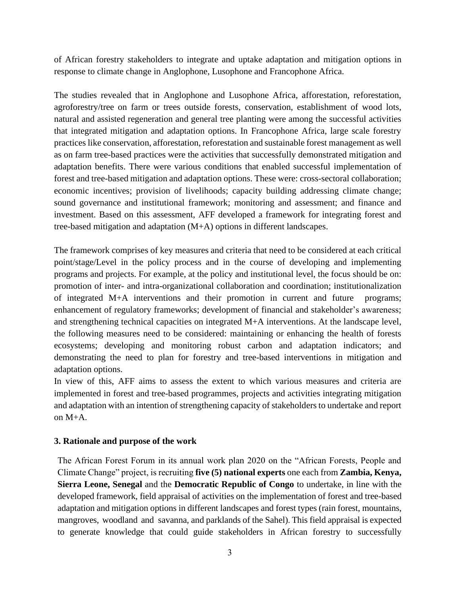of African forestry stakeholders to integrate and uptake adaptation and mitigation options in response to climate change in Anglophone, Lusophone and Francophone Africa.

The studies revealed that in Anglophone and Lusophone Africa, afforestation, reforestation, agroforestry/tree on farm or trees outside forests, conservation, establishment of wood lots, natural and assisted regeneration and general tree planting were among the successful activities that integrated mitigation and adaptation options. In Francophone Africa, large scale forestry practices like conservation, afforestation, reforestation and sustainable forest management as well as on farm tree-based practices were the activities that successfully demonstrated mitigation and adaptation benefits. There were various conditions that enabled successful implementation of forest and tree-based mitigation and adaptation options. These were: cross-sectoral collaboration; economic incentives; provision of livelihoods; capacity building addressing climate change; sound governance and institutional framework; monitoring and assessment; and finance and investment. Based on this assessment, AFF developed a framework for integrating forest and tree-based mitigation and adaptation (M+A) options in different landscapes.

The framework comprises of key measures and criteria that need to be considered at each critical point/stage/Level in the policy process and in the course of developing and implementing programs and projects. For example, at the policy and institutional level, the focus should be on: promotion of inter- and intra-organizational collaboration and coordination; institutionalization of integrated M+A interventions and their promotion in current and future programs; enhancement of regulatory frameworks; development of financial and stakeholder's awareness; and strengthening technical capacities on integrated M+A interventions. At the landscape level, the following measures need to be considered: maintaining or enhancing the health of forests ecosystems; developing and monitoring robust carbon and adaptation indicators; and demonstrating the need to plan for forestry and tree-based interventions in mitigation and adaptation options.

In view of this, AFF aims to assess the extent to which various measures and criteria are implemented in forest and tree-based programmes, projects and activities integrating mitigation and adaptation with an intention of strengthening capacity of stakeholders to undertake and report on M+A.

### **3. Rationale and purpose of the work**

The African Forest Forum in its annual work plan 2020 on the "African Forests, People and Climate Change" project, is recruiting **five (5) national experts** one each from **Zambia, Kenya, Sierra Leone, Senegal** and the **Democratic Republic of Congo** to undertake, in line with the developed framework, field appraisal of activities on the implementation of forest and tree-based adaptation and mitigation options in different landscapes and forest types (rain forest, mountains, mangroves, woodland and savanna, and parklands of the Sahel). This field appraisal is expected to generate knowledge that could guide stakeholders in African forestry to successfully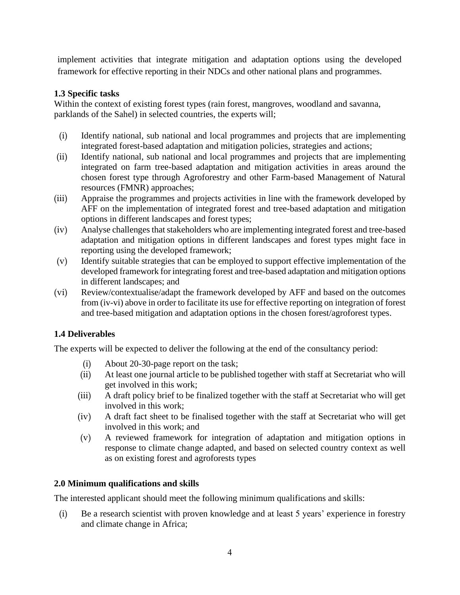implement activities that integrate mitigation and adaptation options using the developed framework for effective reporting in their NDCs and other national plans and programmes.

## **1.3 Specific tasks**

Within the context of existing forest types (rain forest, mangroves, woodland and savanna, parklands of the Sahel) in selected countries, the experts will;

- (i) Identify national, sub national and local programmes and projects that are implementing integrated forest-based adaptation and mitigation policies, strategies and actions;
- (ii) Identify national, sub national and local programmes and projects that are implementing integrated on farm tree-based adaptation and mitigation activities in areas around the chosen forest type through Agroforestry and other Farm-based Management of Natural resources (FMNR) approaches;
- (iii) Appraise the programmes and projects activities in line with the framework developed by AFF on the implementation of integrated forest and tree-based adaptation and mitigation options in different landscapes and forest types;
- (iv) Analyse challenges that stakeholders who are implementing integrated forest and tree-based adaptation and mitigation options in different landscapes and forest types might face in reporting using the developed framework;
- (v) Identify suitable strategies that can be employed to support effective implementation of the developed framework for integrating forest and tree-based adaptation and mitigation options in different landscapes; and
- (vi) Review/contextualise/adapt the framework developed by AFF and based on the outcomes from (iv-vi) above in order to facilitate its use for effective reporting on integration of forest and tree-based mitigation and adaptation options in the chosen forest/agroforest types.

# **1.4 Deliverables**

The experts will be expected to deliver the following at the end of the consultancy period:

- (i) About 20-30-page report on the task;
- (ii) At least one journal article to be published together with staff at Secretariat who will get involved in this work;
- (iii) A draft policy brief to be finalized together with the staff at Secretariat who will get involved in this work;
- (iv) A draft fact sheet to be finalised together with the staff at Secretariat who will get involved in this work; and
- (v) A reviewed framework for integration of adaptation and mitigation options in response to climate change adapted, and based on selected country context as well as on existing forest and agroforests types

# **2.0 Minimum qualifications and skills**

The interested applicant should meet the following minimum qualifications and skills:

(i) Be a research scientist with proven knowledge and at least 5 years' experience in forestry and climate change in Africa;